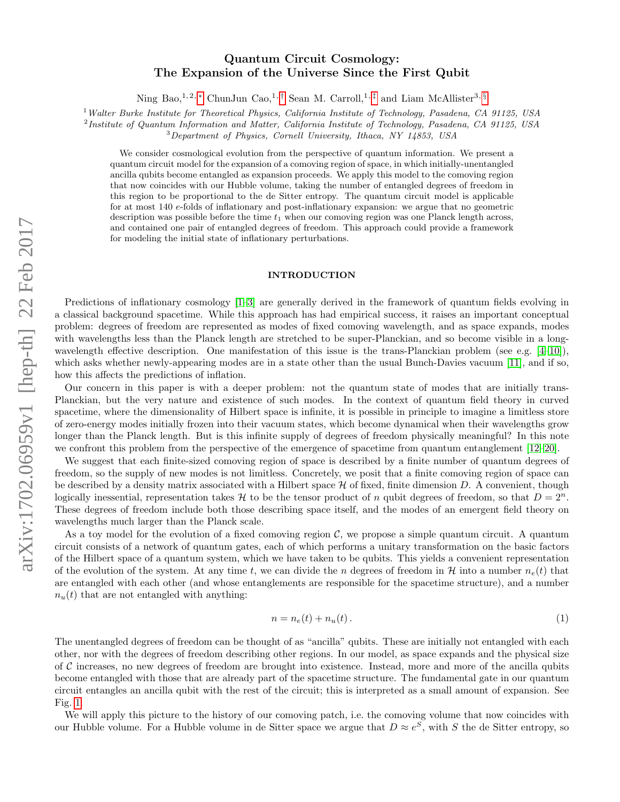# Quantum Circuit Cosmology: The Expansion of the Universe Since the First Qubit

Ning Bao,<sup>1, 2, \*</sup> ChunJun Cao,<sup>1,[†](#page-10-1)</sup> Sean M. Carroll,<sup>1,[‡](#page-10-2)</sup> and Liam McAllister<sup>3, [§](#page-10-3)</sup>

<sup>1</sup> Walter Burke Institute for Theoretical Physics, California Institute of Technology, Pasadena, CA 91125, USA

<sup>2</sup>Institute of Quantum Information and Matter, California Institute of Technology, Pasadena, CA 91125, USA

<sup>3</sup>Department of Physics, Cornell University, Ithaca, NY 14853, USA

We consider cosmological evolution from the perspective of quantum information. We present a quantum circuit model for the expansion of a comoving region of space, in which initially-unentangled ancilla qubits become entangled as expansion proceeds. We apply this model to the comoving region that now coincides with our Hubble volume, taking the number of entangled degrees of freedom in this region to be proportional to the de Sitter entropy. The quantum circuit model is applicable for at most 140 e-folds of inflationary and post-inflationary expansion: we argue that no geometric description was possible before the time  $t_1$  when our comoving region was one Planck length across, and contained one pair of entangled degrees of freedom. This approach could provide a framework for modeling the initial state of inflationary perturbations.

### INTRODUCTION

Predictions of inflationary cosmology [\[1–](#page-10-4)[3\]](#page-10-5) are generally derived in the framework of quantum fields evolving in a classical background spacetime. While this approach has had empirical success, it raises an important conceptual problem: degrees of freedom are represented as modes of fixed comoving wavelength, and as space expands, modes with wavelengths less than the Planck length are stretched to be super-Planckian, and so become visible in a longwavelength effective description. One manifestation of this issue is the trans-Planckian problem (see e.g.  $[4-10]$  $[4-10]$ ), which asks whether newly-appearing modes are in a state other than the usual Bunch-Davies vacuum [\[11\]](#page-10-8), and if so, how this affects the predictions of inflation.

Our concern in this paper is with a deeper problem: not the quantum state of modes that are initially trans-Planckian, but the very nature and existence of such modes. In the context of quantum field theory in curved spacetime, where the dimensionality of Hilbert space is infinite, it is possible in principle to imagine a limitless store of zero-energy modes initially frozen into their vacuum states, which become dynamical when their wavelengths grow longer than the Planck length. But is this infinite supply of degrees of freedom physically meaningful? In this note we confront this problem from the perspective of the emergence of spacetime from quantum entanglement [\[12–](#page-10-9)[20\]](#page-10-10).

We suggest that each finite-sized comoving region of space is described by a finite number of quantum degrees of freedom, so the supply of new modes is not limitless. Concretely, we posit that a finite comoving region of space can be described by a density matrix associated with a Hilbert space  $H$  of fixed, finite dimension  $D$ . A convenient, though logically inessential, representation takes H to be the tensor product of n qubit degrees of freedom, so that  $D = 2<sup>n</sup>$ . These degrees of freedom include both those describing space itself, and the modes of an emergent field theory on wavelengths much larger than the Planck scale.

As a toy model for the evolution of a fixed comoving region  $\mathcal{C}$ , we propose a simple quantum circuit. A quantum circuit consists of a network of quantum gates, each of which performs a unitary transformation on the basic factors of the Hilbert space of a quantum system, which we have taken to be qubits. This yields a convenient representation of the evolution of the system. At any time t, we can divide the n degrees of freedom in H into a number  $n_e(t)$  that are entangled with each other (and whose entanglements are responsible for the spacetime structure), and a number  $n_u(t)$  that are not entangled with anything:

$$
n = n_e(t) + n_u(t). \tag{1}
$$

The unentangled degrees of freedom can be thought of as "ancilla" qubits. These are initially not entangled with each other, nor with the degrees of freedom describing other regions. In our model, as space expands and the physical size of  $C$  increases, no new degrees of freedom are brought into existence. Instead, more and more of the ancilla qubits become entangled with those that are already part of the spacetime structure. The fundamental gate in our quantum circuit entangles an ancilla qubit with the rest of the circuit; this is interpreted as a small amount of expansion. See Fig. [1.](#page-1-0)

We will apply this picture to the history of our comoving patch, i.e. the comoving volume that now coincides with our Hubble volume. For a Hubble volume in de Sitter space we argue that  $D \approx e^S$ , with S the de Sitter entropy, so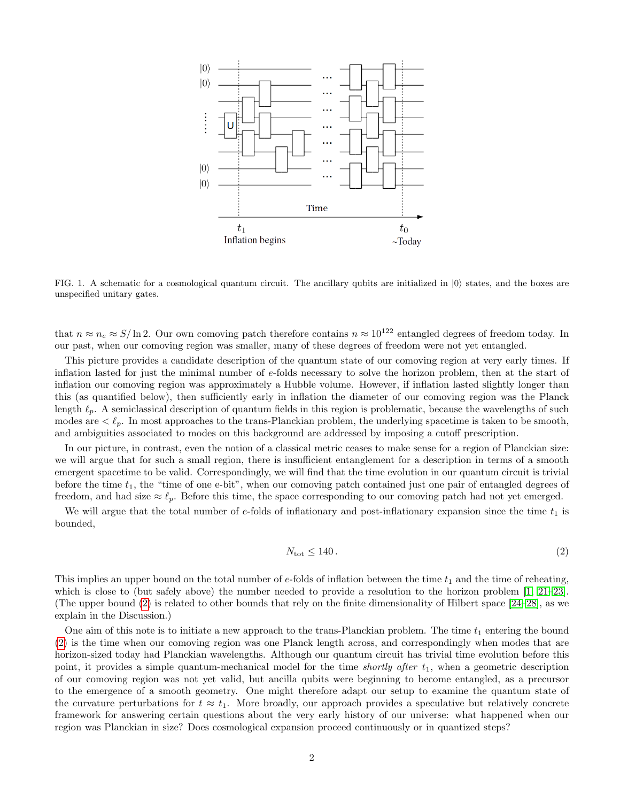

<span id="page-1-0"></span>FIG. 1. A schematic for a cosmological quantum circuit. The ancillary qubits are initialized in  $|0\rangle$  states, and the boxes are unspecified unitary gates.

that  $n \approx n_e \approx S/\ln 2$ . Our own comoving patch therefore contains  $n \approx 10^{122}$  entangled degrees of freedom today. In our past, when our comoving region was smaller, many of these degrees of freedom were not yet entangled.

This picture provides a candidate description of the quantum state of our comoving region at very early times. If inflation lasted for just the minimal number of e-folds necessary to solve the horizon problem, then at the start of inflation our comoving region was approximately a Hubble volume. However, if inflation lasted slightly longer than this (as quantified below), then sufficiently early in inflation the diameter of our comoving region was the Planck length  $\ell_p$ . A semiclassical description of quantum fields in this region is problematic, because the wavelengths of such modes are  $\lt \ell_p$ . In most approaches to the trans-Planckian problem, the underlying spacetime is taken to be smooth, and ambiguities associated to modes on this background are addressed by imposing a cutoff prescription.

In our picture, in contrast, even the notion of a classical metric ceases to make sense for a region of Planckian size: we will argue that for such a small region, there is insufficient entanglement for a description in terms of a smooth emergent spacetime to be valid. Correspondingly, we will find that the time evolution in our quantum circuit is trivial before the time  $t_1$ , the "time of one e-bit", when our comoving patch contained just one pair of entangled degrees of freedom, and had size  $\approx \ell_p$ . Before this time, the space corresponding to our comoving patch had not yet emerged.

We will argue that the total number of  $e$ -folds of inflationary and post-inflationary expansion since the time  $t_1$  is bounded,

<span id="page-1-1"></span>
$$
N_{\text{tot}} \le 140. \tag{2}
$$

This implies an upper bound on the total number of  $e$ -folds of inflation between the time  $t_1$  and the time of reheating, which is close to (but safely above) the number needed to provide a resolution to the horizon problem [\[1,](#page-10-4) [21–](#page-10-11)[23\]](#page-10-12). (The upper bound [\(2\)](#page-1-1) is related to other bounds that rely on the finite dimensionality of Hilbert space [\[24–](#page-10-13)[28\]](#page-10-14), as we explain in the Discussion.)

One aim of this note is to initiate a new approach to the trans-Planckian problem. The time  $t_1$  entering the bound [\(2\)](#page-1-1) is the time when our comoving region was one Planck length across, and correspondingly when modes that are horizon-sized today had Planckian wavelengths. Although our quantum circuit has trivial time evolution before this point, it provides a simple quantum-mechanical model for the time *shortly after*  $t_1$ , when a geometric description of our comoving region was not yet valid, but ancilla qubits were beginning to become entangled, as a precursor to the emergence of a smooth geometry. One might therefore adapt our setup to examine the quantum state of the curvature perturbations for  $t \approx t_1$ . More broadly, our approach provides a speculative but relatively concrete framework for answering certain questions about the very early history of our universe: what happened when our region was Planckian in size? Does cosmological expansion proceed continuously or in quantized steps?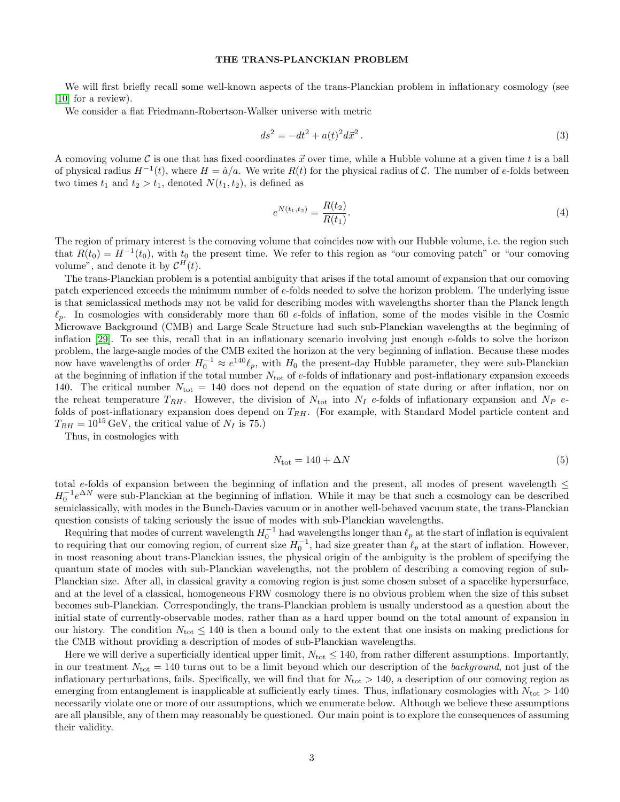### THE TRANS-PLANCKIAN PROBLEM

We will first briefly recall some well-known aspects of the trans-Planckian problem in inflationary cosmology (see [\[10\]](#page-10-7) for a review).

We consider a flat Friedmann-Robertson-Walker universe with metric

$$
ds^2 = -dt^2 + a(t)^2 d\vec{x}^2.
$$
\n(3)

A comoving volume C is one that has fixed coordinates  $\vec{x}$  over time, while a Hubble volume at a given time t is a ball of physical radius  $H^{-1}(t)$ , where  $H = \dot{a}/a$ . We write  $R(t)$  for the physical radius of C. The number of e-folds between two times  $t_1$  and  $t_2 > t_1$ , denoted  $N(t_1, t_2)$ , is defined as

$$
e^{N(t_1, t_2)} = \frac{R(t_2)}{R(t_1)}.
$$
\n(4)

The region of primary interest is the comoving volume that coincides now with our Hubble volume, i.e. the region such that  $R(t_0) = H^{-1}(t_0)$ , with  $t_0$  the present time. We refer to this region as "our comoving patch" or "our comoving volume", and denote it by  $\mathcal{C}^{H}(t)$ .

The trans-Planckian problem is a potential ambiguity that arises if the total amount of expansion that our comoving patch experienced exceeds the minimum number of e-folds needed to solve the horizon problem. The underlying issue is that semiclassical methods may not be valid for describing modes with wavelengths shorter than the Planck length  $\ell_p$ . In cosmologies with considerably more than 60 e-folds of inflation, some of the modes visible in the Cosmic Microwave Background (CMB) and Large Scale Structure had such sub-Planckian wavelengths at the beginning of inflation  $[29]$ . To see this, recall that in an inflationary scenario involving just enough e-folds to solve the horizon problem, the large-angle modes of the CMB exited the horizon at the very beginning of inflation. Because these modes now have wavelengths of order  $H_0^{-1} \approx e^{140} \ell_p$ , with  $H_0$  the present-day Hubble parameter, they were sub-Planckian at the beginning of inflation if the total number  $N_{\text{tot}}$  of e-folds of inflationary and post-inflationary expansion exceeds 140. The critical number  $N_{\text{tot}} = 140$  does not depend on the equation of state during or after inflation, nor on the reheat temperature  $T_{RH}$ . However, the division of  $N_{\text{tot}}$  into  $N_I$  e-folds of inflationary expansion and  $N_P$  efolds of post-inflationary expansion does depend on  $T_{RH}$ . (For example, with Standard Model particle content and  $T_{RH} = 10^{15} \,\text{GeV}$ , the critical value of  $N_I$  is 75.)

Thus, in cosmologies with

$$
N_{\text{tot}} = 140 + \Delta N \tag{5}
$$

total e-folds of expansion between the beginning of inflation and the present, all modes of present wavelength  $\leq$  $H_0^{-1}e^{\Delta N}$  were sub-Planckian at the beginning of inflation. While it may be that such a cosmology can be described semiclassically, with modes in the Bunch-Davies vacuum or in another well-behaved vacuum state, the trans-Planckian question consists of taking seriously the issue of modes with sub-Planckian wavelengths.

Requiring that modes of current wavelength  $H_0^{-1}$  had wavelengths longer than  $\ell_p$  at the start of inflation is equivalent to requiring that our comoving region, of current size  $H_0^{-1}$ , had size greater than  $\ell_p$  at the start of inflation. However, in most reasoning about trans-Planckian issues, the physical origin of the ambiguity is the problem of specifying the quantum state of modes with sub-Planckian wavelengths, not the problem of describing a comoving region of sub-Planckian size. After all, in classical gravity a comoving region is just some chosen subset of a spacelike hypersurface, and at the level of a classical, homogeneous FRW cosmology there is no obvious problem when the size of this subset becomes sub-Planckian. Correspondingly, the trans-Planckian problem is usually understood as a question about the initial state of currently-observable modes, rather than as a hard upper bound on the total amount of expansion in our history. The condition  $N_{\text{tot}} \leq 140$  is then a bound only to the extent that one insists on making predictions for the CMB without providing a description of modes of sub-Planckian wavelengths.

Here we will derive a superficially identical upper limit,  $N_{\text{tot}} \leq 140$ , from rather different assumptions. Importantly, in our treatment  $N_{\text{tot}} = 140$  turns out to be a limit beyond which our description of the *background*, not just of the inflationary perturbations, fails. Specifically, we will find that for  $N_{\text{tot}} > 140$ , a description of our comoving region as emerging from entanglement is inapplicable at sufficiently early times. Thus, inflationary cosmologies with  $N_{\text{tot}} > 140$ necessarily violate one or more of our assumptions, which we enumerate below. Although we believe these assumptions are all plausible, any of them may reasonably be questioned. Our main point is to explore the consequences of assuming their validity.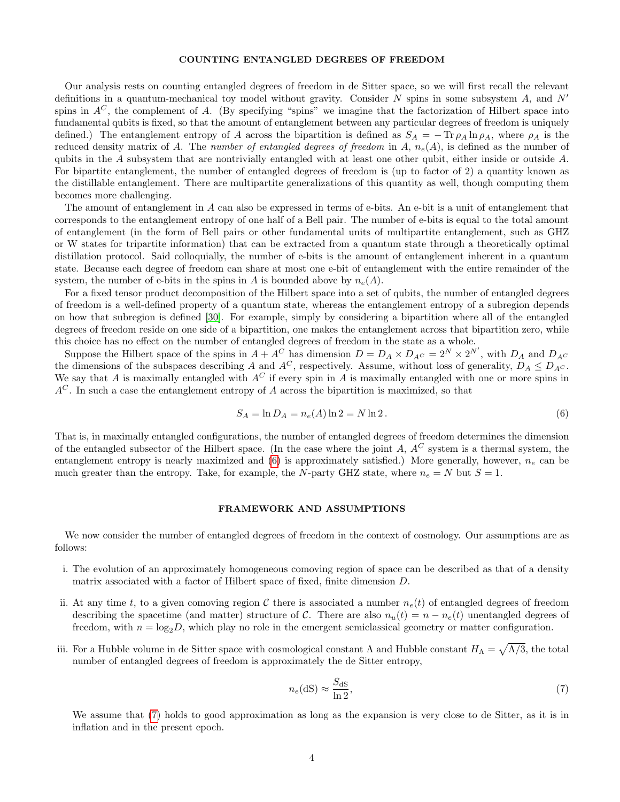### COUNTING ENTANGLED DEGREES OF FREEDOM

Our analysis rests on counting entangled degrees of freedom in de Sitter space, so we will first recall the relevant definitions in a quantum-mechanical toy model without gravity. Consider N spins in some subsystem A, and  $N'$ spins in  $A^C$ , the complement of A. (By specifying "spins" we imagine that the factorization of Hilbert space into fundamental qubits is fixed, so that the amount of entanglement between any particular degrees of freedom is uniquely defined.) The entanglement entropy of A across the bipartition is defined as  $S_A = -\text{Tr} \rho_A \ln \rho_A$ , where  $\rho_A$  is the reduced density matrix of A. The number of entangled degrees of freedom in A,  $n_e(A)$ , is defined as the number of qubits in the A subsystem that are nontrivially entangled with at least one other qubit, either inside or outside A. For bipartite entanglement, the number of entangled degrees of freedom is (up to factor of 2) a quantity known as the distillable entanglement. There are multipartite generalizations of this quantity as well, though computing them becomes more challenging.

The amount of entanglement in A can also be expressed in terms of e-bits. An e-bit is a unit of entanglement that corresponds to the entanglement entropy of one half of a Bell pair. The number of e-bits is equal to the total amount of entanglement (in the form of Bell pairs or other fundamental units of multipartite entanglement, such as GHZ or W states for tripartite information) that can be extracted from a quantum state through a theoretically optimal distillation protocol. Said colloquially, the number of e-bits is the amount of entanglement inherent in a quantum state. Because each degree of freedom can share at most one e-bit of entanglement with the entire remainder of the system, the number of e-bits in the spins in A is bounded above by  $n_e(A)$ .

For a fixed tensor product decomposition of the Hilbert space into a set of qubits, the number of entangled degrees of freedom is a well-defined property of a quantum state, whereas the entanglement entropy of a subregion depends on how that subregion is defined [\[30\]](#page-10-16). For example, simply by considering a bipartition where all of the entangled degrees of freedom reside on one side of a bipartition, one makes the entanglement across that bipartition zero, while this choice has no effect on the number of entangled degrees of freedom in the state as a whole.

Suppose the Hilbert space of the spins in  $A + A^C$  has dimension  $D = D_A \times D_{A^C} = 2^N \times 2^{N'}$ , with  $D_A$  and  $D_{A^C}$ the dimensions of the subspaces describing A and  $A^C$ , respectively. Assume, without loss of generality,  $D_A \leq D_{A^C}$ . We say that A is maximally entangled with  $A^C$  if every spin in A is maximally entangled with one or more spins in  $A^C$ . In such a case the entanglement entropy of A across the bipartition is maximized, so that

<span id="page-3-0"></span>
$$
S_A = \ln D_A = n_e(A) \ln 2 = N \ln 2. \tag{6}
$$

That is, in maximally entangled configurations, the number of entangled degrees of freedom determines the dimension of the entangled subsector of the Hilbert space. (In the case where the joint A,  $A^C$  system is a thermal system, the entanglement entropy is nearly maximized and  $(6)$  is approximately satisfied.) More generally, however,  $n_e$  can be much greater than the entropy. Take, for example, the N-party GHZ state, where  $n_e = N$  but  $S = 1$ .

### FRAMEWORK AND ASSUMPTIONS

We now consider the number of entangled degrees of freedom in the context of cosmology. Our assumptions are as follows:

- i. The evolution of an approximately homogeneous comoving region of space can be described as that of a density matrix associated with a factor of Hilbert space of fixed, finite dimension D.
- ii. At any time t, to a given comoving region C there is associated a number  $n_e(t)$  of entangled degrees of freedom describing the spacetime (and matter) structure of C. There are also  $n_u(t) = n - n_e(t)$  unentangled degrees of freedom, with  $n = \log_2 D$ , which play no role in the emergent semiclassical geometry or matter configuration.
- iii. For a Hubble volume in de Sitter space with cosmological constant  $\Lambda$  and Hubble constant  $H_\Lambda = \sqrt{\Lambda/3}$ , the total number of entangled degrees of freedom is approximately the de Sitter entropy,

<span id="page-3-1"></span>
$$
n_e(\text{dS}) \approx \frac{S_{\text{dS}}}{\ln 2},\tag{7}
$$

We assume that [\(7\)](#page-3-1) holds to good approximation as long as the expansion is very close to de Sitter, as it is in inflation and in the present epoch.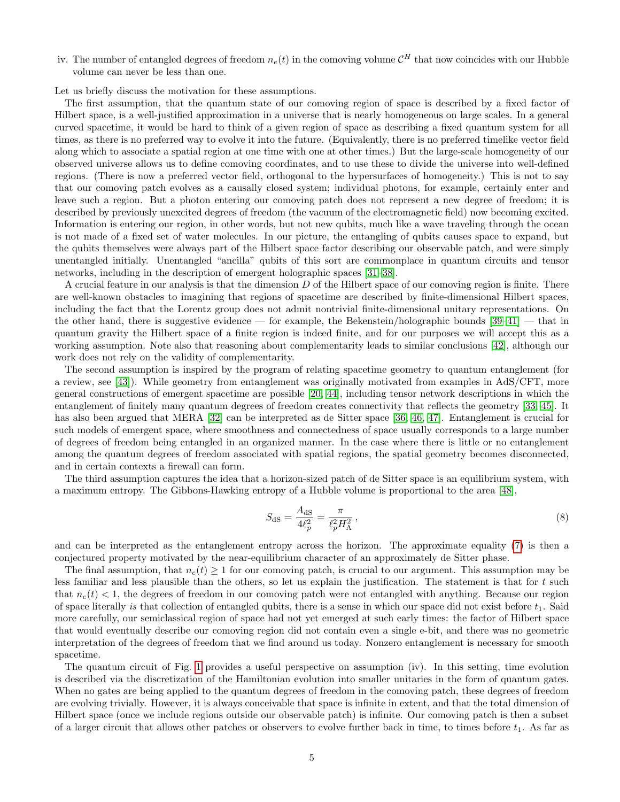iv. The number of entangled degrees of freedom  $n_e(t)$  in the comoving volume  $\mathcal{C}^H$  that now coincides with our Hubble volume can never be less than one.

Let us briefly discuss the motivation for these assumptions.

The first assumption, that the quantum state of our comoving region of space is described by a fixed factor of Hilbert space, is a well-justified approximation in a universe that is nearly homogeneous on large scales. In a general curved spacetime, it would be hard to think of a given region of space as describing a fixed quantum system for all times, as there is no preferred way to evolve it into the future. (Equivalently, there is no preferred timelike vector field along which to associate a spatial region at one time with one at other times.) But the large-scale homogeneity of our observed universe allows us to define comoving coordinates, and to use these to divide the universe into well-defined regions. (There is now a preferred vector field, orthogonal to the hypersurfaces of homogeneity.) This is not to say that our comoving patch evolves as a causally closed system; individual photons, for example, certainly enter and leave such a region. But a photon entering our comoving patch does not represent a new degree of freedom; it is described by previously unexcited degrees of freedom (the vacuum of the electromagnetic field) now becoming excited. Information is entering our region, in other words, but not new qubits, much like a wave traveling through the ocean is not made of a fixed set of water molecules. In our picture, the entangling of qubits causes space to expand, but the qubits themselves were always part of the Hilbert space factor describing our observable patch, and were simply unentangled initially. Unentangled "ancilla" qubits of this sort are commonplace in quantum circuits and tensor networks, including in the description of emergent holographic spaces [\[31–](#page-11-0)[38\]](#page-11-1).

A crucial feature in our analysis is that the dimension D of the Hilbert space of our comoving region is finite. There are well-known obstacles to imagining that regions of spacetime are described by finite-dimensional Hilbert spaces, including the fact that the Lorentz group does not admit nontrivial finite-dimensional unitary representations. On the other hand, there is suggestive evidence — for example, the Bekenstein/holographic bounds [\[39–](#page-11-2)[41\]](#page-11-3) — that in quantum gravity the Hilbert space of a finite region is indeed finite, and for our purposes we will accept this as a working assumption. Note also that reasoning about complementarity leads to similar conclusions [\[42\]](#page-11-4), although our work does not rely on the validity of complementarity.

The second assumption is inspired by the program of relating spacetime geometry to quantum entanglement (for a review, see [\[43\]](#page-11-5)). While geometry from entanglement was originally motivated from examples in AdS/CFT, more general constructions of emergent spacetime are possible [\[20,](#page-10-10) [44\]](#page-11-6), including tensor network descriptions in which the entanglement of finitely many quantum degrees of freedom creates connectivity that reflects the geometry [\[33,](#page-11-7) [45\]](#page-11-8). It has also been argued that MERA [\[32\]](#page-11-9) can be interpreted as de Sitter space [\[36,](#page-11-10) [46,](#page-11-11) [47\]](#page-11-12). Entanglement is crucial for such models of emergent space, where smoothness and connectedness of space usually corresponds to a large number of degrees of freedom being entangled in an organized manner. In the case where there is little or no entanglement among the quantum degrees of freedom associated with spatial regions, the spatial geometry becomes disconnected, and in certain contexts a firewall can form.

The third assumption captures the idea that a horizon-sized patch of de Sitter space is an equilibrium system, with a maximum entropy. The Gibbons-Hawking entropy of a Hubble volume is proportional to the area [\[48\]](#page-11-13),

$$
S_{\rm dS} = \frac{A_{\rm dS}}{4\ell_p^2} = \frac{\pi}{\ell_p^2 H_\Lambda^2},\tag{8}
$$

and can be interpreted as the entanglement entropy across the horizon. The approximate equality [\(7\)](#page-3-1) is then a conjectured property motivated by the near-equilibrium character of an approximately de Sitter phase.

The final assumption, that  $n_e(t) \geq 1$  for our comoving patch, is crucial to our argument. This assumption may be less familiar and less plausible than the others, so let us explain the justification. The statement is that for  $t$  such that  $n_e(t) < 1$ , the degrees of freedom in our comoving patch were not entangled with anything. Because our region of space literally is that collection of entangled qubits, there is a sense in which our space did not exist before  $t_1$ . Said more carefully, our semiclassical region of space had not yet emerged at such early times: the factor of Hilbert space that would eventually describe our comoving region did not contain even a single e-bit, and there was no geometric interpretation of the degrees of freedom that we find around us today. Nonzero entanglement is necessary for smooth spacetime.

The quantum circuit of Fig. [1](#page-1-0) provides a useful perspective on assumption (iv). In this setting, time evolution is described via the discretization of the Hamiltonian evolution into smaller unitaries in the form of quantum gates. When no gates are being applied to the quantum degrees of freedom in the comoving patch, these degrees of freedom are evolving trivially. However, it is always conceivable that space is infinite in extent, and that the total dimension of Hilbert space (once we include regions outside our observable patch) is infinite. Our comoving patch is then a subset of a larger circuit that allows other patches or observers to evolve further back in time, to times before  $t_1$ . As far as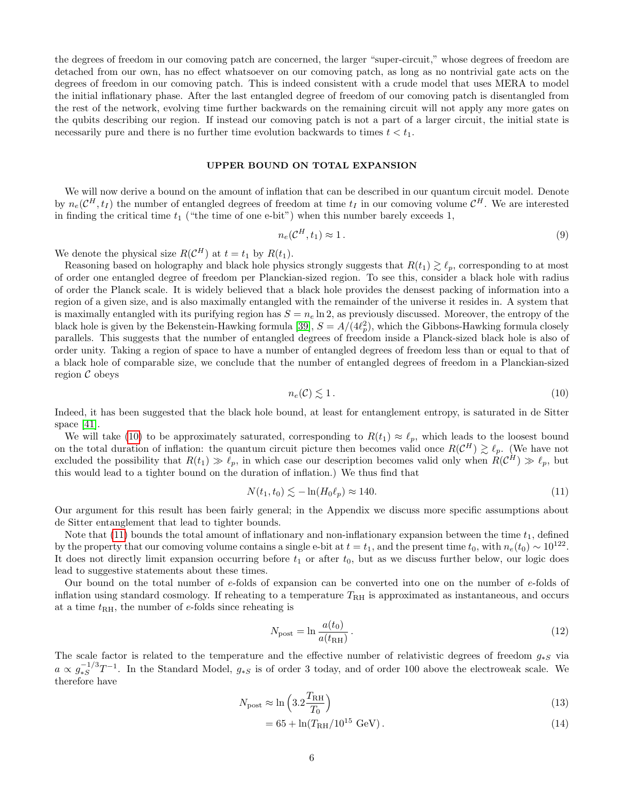the degrees of freedom in our comoving patch are concerned, the larger "super-circuit," whose degrees of freedom are detached from our own, has no effect whatsoever on our comoving patch, as long as no nontrivial gate acts on the degrees of freedom in our comoving patch. This is indeed consistent with a crude model that uses MERA to model the initial inflationary phase. After the last entangled degree of freedom of our comoving patch is disentangled from the rest of the network, evolving time further backwards on the remaining circuit will not apply any more gates on the qubits describing our region. If instead our comoving patch is not a part of a larger circuit, the initial state is necessarily pure and there is no further time evolution backwards to times  $t < t_1$ .

## UPPER BOUND ON TOTAL EXPANSION

We will now derive a bound on the amount of inflation that can be described in our quantum circuit model. Denote by  $n_e(\mathcal{C}^H,t_I)$  the number of entangled degrees of freedom at time  $t_I$  in our comoving volume  $\mathcal{C}^H$ . We are interested in finding the critical time  $t_1$  ("the time of one e-bit") when this number barely exceeds 1,

$$
n_e(\mathcal{C}^H, t_1) \approx 1. \tag{9}
$$

We denote the physical size  $R(\mathcal{C}^H)$  at  $t = t_1$  by  $R(t_1)$ .

Reasoning based on holography and black hole physics strongly suggests that  $R(t_1) \gtrsim \ell_p$ , corresponding to at most of order one entangled degree of freedom per Planckian-sized region. To see this, consider a black hole with radius of order the Planck scale. It is widely believed that a black hole provides the densest packing of information into a region of a given size, and is also maximally entangled with the remainder of the universe it resides in. A system that is maximally entangled with its purifying region has  $S = n_e \ln 2$ , as previously discussed. Moreover, the entropy of the black hole is given by the Bekenstein-Hawking formula [\[39\]](#page-11-2),  $S = A/(4\ell_p^2)$ , which the Gibbons-Hawking formula closely parallels. This suggests that the number of entangled degrees of freedom inside a Planck-sized black hole is also of order unity. Taking a region of space to have a number of entangled degrees of freedom less than or equal to that of a black hole of comparable size, we conclude that the number of entangled degrees of freedom in a Planckian-sized region  $\mathcal C$  obeys

<span id="page-5-0"></span>
$$
n_e(\mathcal{C}) \lesssim 1\,. \tag{10}
$$

Indeed, it has been suggested that the black hole bound, at least for entanglement entropy, is saturated in de Sitter space [\[41\]](#page-11-3).

We will take [\(10\)](#page-5-0) to be approximately saturated, corresponding to  $R(t_1) \approx \ell_p$ , which leads to the loosest bound on the total duration of inflation: the quantum circuit picture then becomes valid once  $R(\mathcal{C}^H) \gtrsim \ell_p$ . (We have not excluded the possibility that  $R(t_1) \gg \ell_p$ , in which case our description becomes valid only when  $R(\mathcal{C}^H) \gg \ell_p$ , but this would lead to a tighter bound on the duration of inflation.) We thus find that

<span id="page-5-1"></span>
$$
N(t_1, t_0) \lesssim -\ln(H_0 \ell_p) \approx 140. \tag{11}
$$

Our argument for this result has been fairly general; in the Appendix we discuss more specific assumptions about de Sitter entanglement that lead to tighter bounds.

Note that [\(11\)](#page-5-1) bounds the total amount of inflationary and non-inflationary expansion between the time  $t_1$ , defined by the property that our comoving volume contains a single e-bit at  $t = t_1$ , and the present time  $t_0$ , with  $n_e(t_0) \sim 10^{122}$ . It does not directly limit expansion occurring before  $t_1$  or after  $t_0$ , but as we discuss further below, our logic does lead to suggestive statements about these times.

Our bound on the total number of e-folds of expansion can be converted into one on the number of e-folds of inflation using standard cosmology. If reheating to a temperature  $T_{\rm RH}$  is approximated as instantaneous, and occurs at a time  $t_{\text{RH}}$ , the number of e-folds since reheating is

$$
N_{\text{post}} = \ln \frac{a(t_0)}{a(t_{\text{RH}})}\,. \tag{12}
$$

The scale factor is related to the temperature and the effective number of relativistic degrees of freedom  $g_{*S}$  via  $a \propto g_{*S}^{-1/3}$  $\frac{-1}{s}$ <sup>T</sup> $-1$ . In the Standard Model,  $g_{*S}$  is of order 3 today, and of order 100 above the electroweak scale. We therefore have

$$
N_{\text{post}} \approx \ln\left(3.2 \frac{T_{\text{RH}}}{T_0}\right) \tag{13}
$$

$$
= 65 + \ln(T_{\rm RH}/10^{15} \text{ GeV}). \tag{14}
$$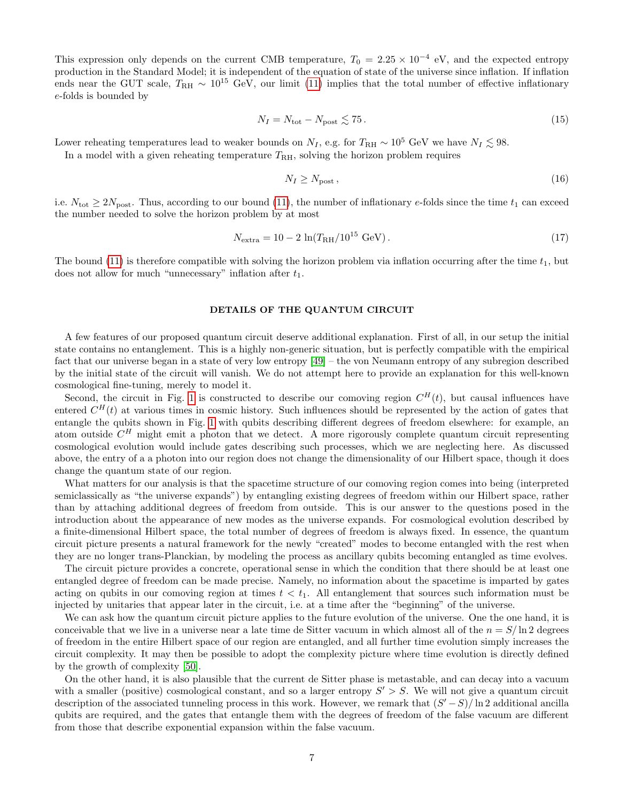This expression only depends on the current CMB temperature,  $T_0 = 2.25 \times 10^{-4}$  eV, and the expected entropy production in the Standard Model; it is independent of the equation of state of the universe since inflation. If inflation ends near the GUT scale,  $T_{\rm RH} \sim 10^{15}$  GeV, our limit [\(11\)](#page-5-1) implies that the total number of effective inflationary e-folds is bounded by

$$
N_I = N_{\text{tot}} - N_{\text{post}} \lesssim 75. \tag{15}
$$

Lower reheating temperatures lead to weaker bounds on  $N_I$ , e.g. for  $T_{\rm RH} \sim 10^5$  GeV we have  $N_I \lesssim 98$ .

In a model with a given reheating temperature  $T_{\rm RH}$ , solving the horizon problem requires

$$
N_I \ge N_{\text{post}}\,,\tag{16}
$$

i.e.  $N_{\text{tot}} \geq 2N_{\text{post}}$ . Thus, according to our bound [\(11\)](#page-5-1), the number of inflationary e-folds since the time  $t_1$  can exceed the number needed to solve the horizon problem by at most

$$
N_{\text{extra}} = 10 - 2 \ln(T_{\text{RH}} / 10^{15} \text{ GeV}). \tag{17}
$$

The bound [\(11\)](#page-5-1) is therefore compatible with solving the horizon problem via inflation occurring after the time  $t_1$ , but does not allow for much "unnecessary" inflation after  $t_1$ .

### DETAILS OF THE QUANTUM CIRCUIT

A few features of our proposed quantum circuit deserve additional explanation. First of all, in our setup the initial state contains no entanglement. This is a highly non-generic situation, but is perfectly compatible with the empirical fact that our universe began in a state of very low entropy [\[49\]](#page-11-14) – the von Neumann entropy of any subregion described by the initial state of the circuit will vanish. We do not attempt here to provide an explanation for this well-known cosmological fine-tuning, merely to model it.

Second, the circuit in Fig. [1](#page-1-0) is constructed to describe our comoving region  $C^H(t)$ , but causal influences have entered  $C^{H}(t)$  at various times in cosmic history. Such influences should be represented by the action of gates that entangle the qubits shown in Fig. [1](#page-1-0) with qubits describing different degrees of freedom elsewhere: for example, an atom outside  $C^H$  might emit a photon that we detect. A more rigorously complete quantum circuit representing cosmological evolution would include gates describing such processes, which we are neglecting here. As discussed above, the entry of a a photon into our region does not change the dimensionality of our Hilbert space, though it does change the quantum state of our region.

What matters for our analysis is that the spacetime structure of our comoving region comes into being (interpreted semiclassically as "the universe expands") by entangling existing degrees of freedom within our Hilbert space, rather than by attaching additional degrees of freedom from outside. This is our answer to the questions posed in the introduction about the appearance of new modes as the universe expands. For cosmological evolution described by a finite-dimensional Hilbert space, the total number of degrees of freedom is always fixed. In essence, the quantum circuit picture presents a natural framework for the newly "created" modes to become entangled with the rest when they are no longer trans-Planckian, by modeling the process as ancillary qubits becoming entangled as time evolves.

The circuit picture provides a concrete, operational sense in which the condition that there should be at least one entangled degree of freedom can be made precise. Namely, no information about the spacetime is imparted by gates acting on qubits in our comoving region at times  $t < t_1$ . All entanglement that sources such information must be injected by unitaries that appear later in the circuit, i.e. at a time after the "beginning" of the universe.

We can ask how the quantum circuit picture applies to the future evolution of the universe. One the one hand, it is conceivable that we live in a universe near a late time de Sitter vacuum in which almost all of the  $n = S/\ln 2$  degrees of freedom in the entire Hilbert space of our region are entangled, and all further time evolution simply increases the circuit complexity. It may then be possible to adopt the complexity picture where time evolution is directly defined by the growth of complexity [\[50\]](#page-11-15).

On the other hand, it is also plausible that the current de Sitter phase is metastable, and can decay into a vacuum with a smaller (positive) cosmological constant, and so a larger entropy  $S' > S$ . We will not give a quantum circuit description of the associated tunneling process in this work. However, we remark that  $(S'-S)/\ln 2$  additional ancilla qubits are required, and the gates that entangle them with the degrees of freedom of the false vacuum are different from those that describe exponential expansion within the false vacuum.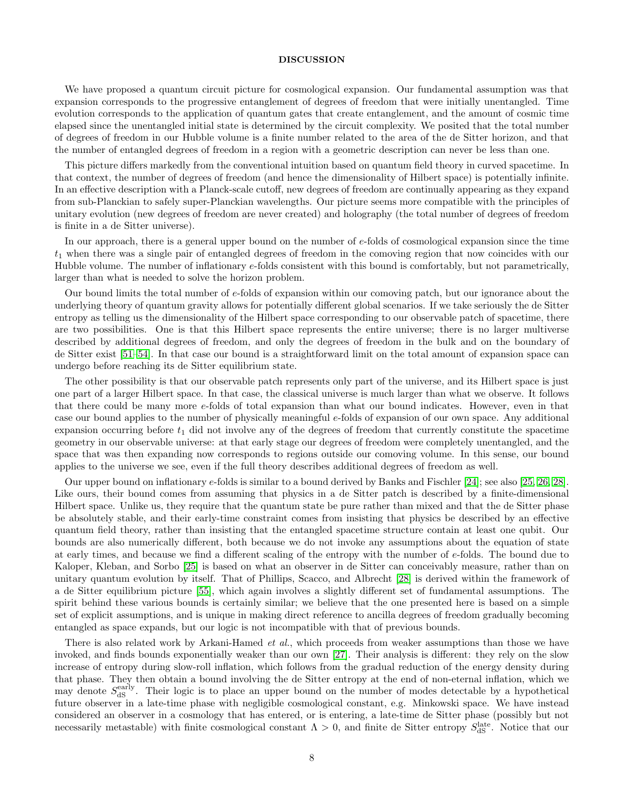### DISCUSSION

We have proposed a quantum circuit picture for cosmological expansion. Our fundamental assumption was that expansion corresponds to the progressive entanglement of degrees of freedom that were initially unentangled. Time evolution corresponds to the application of quantum gates that create entanglement, and the amount of cosmic time elapsed since the unentangled initial state is determined by the circuit complexity. We posited that the total number of degrees of freedom in our Hubble volume is a finite number related to the area of the de Sitter horizon, and that the number of entangled degrees of freedom in a region with a geometric description can never be less than one.

This picture differs markedly from the conventional intuition based on quantum field theory in curved spacetime. In that context, the number of degrees of freedom (and hence the dimensionality of Hilbert space) is potentially infinite. In an effective description with a Planck-scale cutoff, new degrees of freedom are continually appearing as they expand from sub-Planckian to safely super-Planckian wavelengths. Our picture seems more compatible with the principles of unitary evolution (new degrees of freedom are never created) and holography (the total number of degrees of freedom is finite in a de Sitter universe).

In our approach, there is a general upper bound on the number of e-folds of cosmological expansion since the time  $t_1$  when there was a single pair of entangled degrees of freedom in the comoving region that now coincides with our Hubble volume. The number of inflationary e-folds consistent with this bound is comfortably, but not parametrically, larger than what is needed to solve the horizon problem.

Our bound limits the total number of e-folds of expansion within our comoving patch, but our ignorance about the underlying theory of quantum gravity allows for potentially different global scenarios. If we take seriously the de Sitter entropy as telling us the dimensionality of the Hilbert space corresponding to our observable patch of spacetime, there are two possibilities. One is that this Hilbert space represents the entire universe; there is no larger multiverse described by additional degrees of freedom, and only the degrees of freedom in the bulk and on the boundary of de Sitter exist [\[51](#page-11-16)[–54\]](#page-11-17). In that case our bound is a straightforward limit on the total amount of expansion space can undergo before reaching its de Sitter equilibrium state.

The other possibility is that our observable patch represents only part of the universe, and its Hilbert space is just one part of a larger Hilbert space. In that case, the classical universe is much larger than what we observe. It follows that there could be many more e-folds of total expansion than what our bound indicates. However, even in that case our bound applies to the number of physically meaningful e-folds of expansion of our own space. Any additional expansion occurring before  $t_1$  did not involve any of the degrees of freedom that currently constitute the spacetime geometry in our observable universe: at that early stage our degrees of freedom were completely unentangled, and the space that was then expanding now corresponds to regions outside our comoving volume. In this sense, our bound applies to the universe we see, even if the full theory describes additional degrees of freedom as well.

Our upper bound on inflationary e-folds is similar to a bound derived by Banks and Fischler [\[24\]](#page-10-13); see also [\[25,](#page-10-17) [26,](#page-10-18) [28\]](#page-10-14). Like ours, their bound comes from assuming that physics in a de Sitter patch is described by a finite-dimensional Hilbert space. Unlike us, they require that the quantum state be pure rather than mixed and that the de Sitter phase be absolutely stable, and their early-time constraint comes from insisting that physics be described by an effective quantum field theory, rather than insisting that the entangled spacetime structure contain at least one qubit. Our bounds are also numerically different, both because we do not invoke any assumptions about the equation of state at early times, and because we find a different scaling of the entropy with the number of e-folds. The bound due to Kaloper, Kleban, and Sorbo [\[25\]](#page-10-17) is based on what an observer in de Sitter can conceivably measure, rather than on unitary quantum evolution by itself. That of Phillips, Scacco, and Albrecht [\[28\]](#page-10-14) is derived within the framework of a de Sitter equilibrium picture [\[55\]](#page-11-18), which again involves a slightly different set of fundamental assumptions. The spirit behind these various bounds is certainly similar; we believe that the one presented here is based on a simple set of explicit assumptions, and is unique in making direct reference to ancilla degrees of freedom gradually becoming entangled as space expands, but our logic is not incompatible with that of previous bounds.

There is also related work by Arkani-Hamed *et al.*, which proceeds from weaker assumptions than those we have invoked, and finds bounds exponentially weaker than our own [\[27\]](#page-10-19). Their analysis is different: they rely on the slow increase of entropy during slow-roll inflation, which follows from the gradual reduction of the energy density during that phase. They then obtain a bound involving the de Sitter entropy at the end of non-eternal inflation, which we may denote  $S_{dS}^{\text{early}}$ . Their logic is to place an upper bound on the number of modes detectable by a hypothetical future observer in a late-time phase with negligible cosmological constant, e.g. Minkowski space. We have instead considered an observer in a cosmology that has entered, or is entering, a late-time de Sitter phase (possibly but not necessarily metastable) with finite cosmological constant  $\Lambda > 0$ , and finite de Sitter entropy  $S_{\rm dS}^{\rm late}$ . Notice that our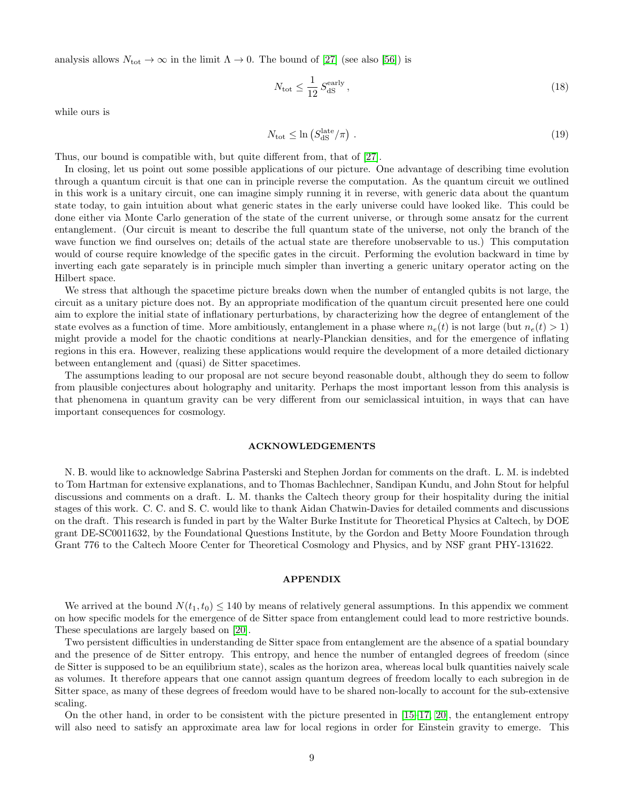analysis allows  $N_{\text{tot}} \to \infty$  in the limit  $\Lambda \to 0$ . The bound of [\[27\]](#page-10-19) (see also [\[56\]](#page-11-19)) is

$$
N_{\text{tot}} \le \frac{1}{12} S_{\text{dS}}^{\text{early}},\tag{18}
$$

while ours is

$$
N_{\rm tot} \leq \ln \left( S_{\rm dS}^{\rm late} / \pi \right) \,. \tag{19}
$$

Thus, our bound is compatible with, but quite different from, that of [\[27\]](#page-10-19).

In closing, let us point out some possible applications of our picture. One advantage of describing time evolution through a quantum circuit is that one can in principle reverse the computation. As the quantum circuit we outlined in this work is a unitary circuit, one can imagine simply running it in reverse, with generic data about the quantum state today, to gain intuition about what generic states in the early universe could have looked like. This could be done either via Monte Carlo generation of the state of the current universe, or through some ansatz for the current entanglement. (Our circuit is meant to describe the full quantum state of the universe, not only the branch of the wave function we find ourselves on; details of the actual state are therefore unobservable to us.) This computation would of course require knowledge of the specific gates in the circuit. Performing the evolution backward in time by inverting each gate separately is in principle much simpler than inverting a generic unitary operator acting on the Hilbert space.

We stress that although the spacetime picture breaks down when the number of entangled qubits is not large, the circuit as a unitary picture does not. By an appropriate modification of the quantum circuit presented here one could aim to explore the initial state of inflationary perturbations, by characterizing how the degree of entanglement of the state evolves as a function of time. More ambitiously, entanglement in a phase where  $n_e(t)$  is not large (but  $n_e(t) > 1$ ) might provide a model for the chaotic conditions at nearly-Planckian densities, and for the emergence of inflating regions in this era. However, realizing these applications would require the development of a more detailed dictionary between entanglement and (quasi) de Sitter spacetimes.

The assumptions leading to our proposal are not secure beyond reasonable doubt, although they do seem to follow from plausible conjectures about holography and unitarity. Perhaps the most important lesson from this analysis is that phenomena in quantum gravity can be very different from our semiclassical intuition, in ways that can have important consequences for cosmology.

#### ACKNOWLEDGEMENTS

N. B. would like to acknowledge Sabrina Pasterski and Stephen Jordan for comments on the draft. L. M. is indebted to Tom Hartman for extensive explanations, and to Thomas Bachlechner, Sandipan Kundu, and John Stout for helpful discussions and comments on a draft. L. M. thanks the Caltech theory group for their hospitality during the initial stages of this work. C. C. and S. C. would like to thank Aidan Chatwin-Davies for detailed comments and discussions on the draft. This research is funded in part by the Walter Burke Institute for Theoretical Physics at Caltech, by DOE grant DE-SC0011632, by the Foundational Questions Institute, by the Gordon and Betty Moore Foundation through Grant 776 to the Caltech Moore Center for Theoretical Cosmology and Physics, and by NSF grant PHY-131622.

### APPENDIX

We arrived at the bound  $N(t_1, t_0) \le 140$  by means of relatively general assumptions. In this appendix we comment on how specific models for the emergence of de Sitter space from entanglement could lead to more restrictive bounds. These speculations are largely based on [\[20\]](#page-10-10).

Two persistent difficulties in understanding de Sitter space from entanglement are the absence of a spatial boundary and the presence of de Sitter entropy. This entropy, and hence the number of entangled degrees of freedom (since de Sitter is supposed to be an equilibrium state), scales as the horizon area, whereas local bulk quantities naively scale as volumes. It therefore appears that one cannot assign quantum degrees of freedom locally to each subregion in de Sitter space, as many of these degrees of freedom would have to be shared non-locally to account for the sub-extensive scaling.

On the other hand, in order to be consistent with the picture presented in [\[15–](#page-10-20)[17,](#page-10-21) [20\]](#page-10-10), the entanglement entropy will also need to satisfy an approximate area law for local regions in order for Einstein gravity to emerge. This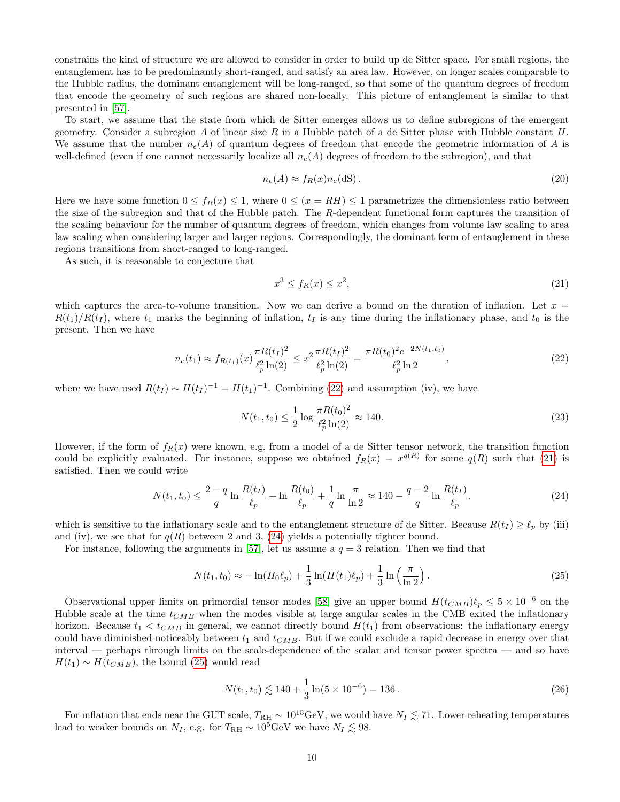constrains the kind of structure we are allowed to consider in order to build up de Sitter space. For small regions, the entanglement has to be predominantly short-ranged, and satisfy an area law. However, on longer scales comparable to the Hubble radius, the dominant entanglement will be long-ranged, so that some of the quantum degrees of freedom that encode the geometry of such regions are shared non-locally. This picture of entanglement is similar to that presented in [\[57\]](#page-11-20).

To start, we assume that the state from which de Sitter emerges allows us to define subregions of the emergent geometry. Consider a subregion A of linear size R in a Hubble patch of a de Sitter phase with Hubble constant H. We assume that the number  $n_e(A)$  of quantum degrees of freedom that encode the geometric information of A is well-defined (even if one cannot necessarily localize all  $n_e(A)$  degrees of freedom to the subregion), and that

$$
n_e(A) \approx f_R(x)n_e(\text{dS}).\tag{20}
$$

Here we have some function  $0 \le f_R(x) \le 1$ , where  $0 \le (x = RH) \le 1$  parametrizes the dimensionless ratio between the size of the subregion and that of the Hubble patch. The R-dependent functional form captures the transition of the scaling behaviour for the number of quantum degrees of freedom, which changes from volume law scaling to area law scaling when considering larger and larger regions. Correspondingly, the dominant form of entanglement in these regions transitions from short-ranged to long-ranged.

As such, it is reasonable to conjecture that

<span id="page-9-1"></span>
$$
x^3 \le f_R(x) \le x^2,\tag{21}
$$

which captures the area-to-volume transition. Now we can derive a bound on the duration of inflation. Let  $x =$  $R(t_1)/R(t_1)$ , where  $t_1$  marks the beginning of inflation,  $t_1$  is any time during the inflationary phase, and  $t_0$  is the present. Then we have

<span id="page-9-0"></span>
$$
n_e(t_1) \approx f_{R(t_1)}(x) \frac{\pi R(t_1)^2}{\ell_p^2 \ln(2)} \le x^2 \frac{\pi R(t_1)^2}{\ell_p^2 \ln(2)} = \frac{\pi R(t_0)^2 e^{-2N(t_1, t_0)}}{\ell_p^2 \ln 2},\tag{22}
$$

where we have used  $R(t_I) \sim H(t_I)^{-1} = H(t_I)^{-1}$ . Combining [\(22\)](#page-9-0) and assumption (iv), we have

$$
N(t_1, t_0) \le \frac{1}{2} \log \frac{\pi R(t_0)^2}{\ell_p^2 \ln(2)} \approx 140. \tag{23}
$$

However, if the form of  $f_R(x)$  were known, e.g. from a model of a de Sitter tensor network, the transition function could be explicitly evaluated. For instance, suppose we obtained  $f_R(x) = x^{q(R)}$  for some  $q(R)$  such that [\(21\)](#page-9-1) is satisfied. Then we could write

<span id="page-9-2"></span>
$$
N(t_1, t_0) \le \frac{2 - q}{q} \ln \frac{R(t_1)}{\ell_p} + \ln \frac{R(t_0)}{\ell_p} + \frac{1}{q} \ln \frac{\pi}{\ln 2} \approx 140 - \frac{q - 2}{q} \ln \frac{R(t_1)}{\ell_p}.
$$
 (24)

which is sensitive to the inflationary scale and to the entanglement structure of de Sitter. Because  $R(t_I) \geq \ell_p$  by (iii) and (iv), we see that for  $q(R)$  between 2 and 3, [\(24\)](#page-9-2) yields a potentially tighter bound.

For instance, following the arguments in [\[57\]](#page-11-20), let us assume a  $q = 3$  relation. Then we find that

<span id="page-9-3"></span>
$$
N(t_1, t_0) \approx -\ln(H_0 \ell_p) + \frac{1}{3} \ln(H(t_1)\ell_p) + \frac{1}{3} \ln\left(\frac{\pi}{\ln 2}\right). \tag{25}
$$

Observational upper limits on primordial tensor modes [\[58\]](#page-11-21) give an upper bound  $H(t_{CMB})\ell_p \leq 5 \times 10^{-6}$  on the Hubble scale at the time  $t_{CMB}$  when the modes visible at large angular scales in the CMB exited the inflationary horizon. Because  $t_1 < t_{CMB}$  in general, we cannot directly bound  $H(t_1)$  from observations: the inflationary energy could have diminished noticeably between  $t_1$  and  $t_{CMB}$ . But if we could exclude a rapid decrease in energy over that interval — perhaps through limits on the scale-dependence of the scalar and tensor power spectra — and so have  $H(t_1) \sim H(t_{CMB})$ , the bound [\(25\)](#page-9-3) would read

$$
N(t_1, t_0) \lesssim 140 + \frac{1}{3} \ln(5 \times 10^{-6}) = 136.
$$
 (26)

For inflation that ends near the GUT scale,  $T_{\rm RH} \sim 10^{15} \text{GeV}$ , we would have  $N_I \lesssim 71$ . Lower reheating temperatures lead to weaker bounds on  $N_I$ , e.g. for  $T_{\rm RH} \sim 10^5 {\rm GeV}$  we have  $N_I \lesssim 98$ .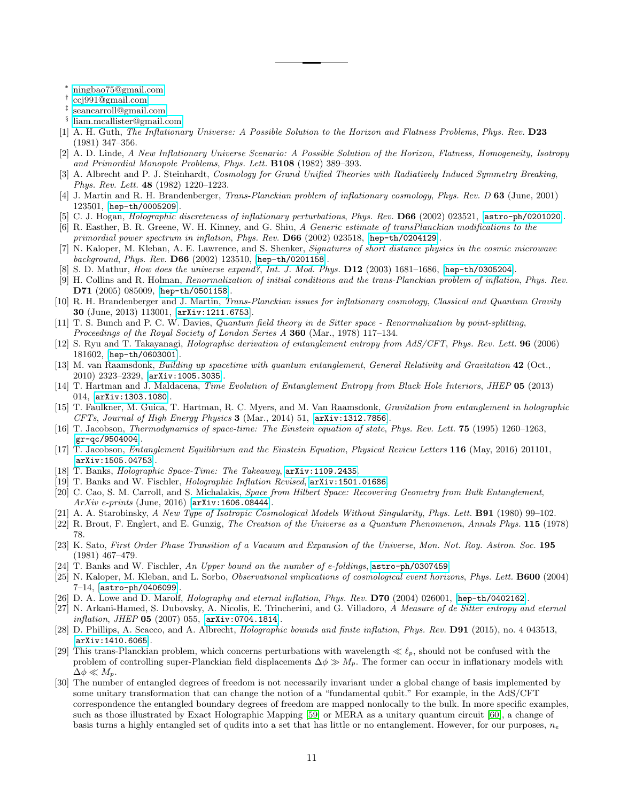<span id="page-10-0"></span><sup>∗</sup> [ningbao75@gmail.com](mailto:ningbao75@gmail.com)

- <span id="page-10-1"></span>† [ccj991@gmail.com](mailto:ccj991@gmail.com)
- <span id="page-10-2"></span>‡ [seancarroll@gmail.com](mailto:seancarroll@gmail.com)
- <span id="page-10-3"></span>§ [liam.mcallister@gmail.com](mailto:liam.mcallister@gmail.com)
- <span id="page-10-4"></span>[1] A. H. Guth, The Inflationary Universe: A Possible Solution to the Horizon and Flatness Problems, Phys. Rev. D23 (1981) 347–356.
- [2] A. D. Linde, A New Inflationary Universe Scenario: A Possible Solution of the Horizon, Flatness, Homogeneity, Isotropy and Primordial Monopole Problems, Phys. Lett. B108 (1982) 389–393.
- <span id="page-10-5"></span>[3] A. Albrecht and P. J. Steinhardt, Cosmology for Grand Unified Theories with Radiatively Induced Symmetry Breaking, Phys. Rev. Lett. 48 (1982) 1220–1223.
- <span id="page-10-6"></span>[4] J. Martin and R. H. Brandenberger, Trans-Planckian problem of inflationary cosmology, Phys. Rev. D 63 (June, 2001) 123501, [[hep-th/0005209](http://arxiv.org/abs/hep-th/0005209)].
- [5] C. J. Hogan, *Holographic discreteness of inflationary perturbations, Phys. Rev.* **D66** (2002) 023521, [[astro-ph/0201020](http://arxiv.org/abs/astro-ph/0201020)].
- [6] R. Easther, B. R. Greene, W. H. Kinney, and G. Shiu, A Generic estimate of transPlanckian modifications to the primordial power spectrum in inflation, Phys. Rev. D66 (2002) 023518, [[hep-th/0204129](http://arxiv.org/abs/hep-th/0204129)].
- [7] N. Kaloper, M. Kleban, A. E. Lawrence, and S. Shenker, Signatures of short distance physics in the cosmic microwave background, Phys. Rev. D66 (2002) 123510, [[hep-th/0201158](http://arxiv.org/abs/hep-th/0201158)].
- [8] S. D. Mathur, *How does the universe expand?*, *Int. J. Mod. Phys.* **D12** (2003) 1681–1686, [[hep-th/0305204](http://arxiv.org/abs/hep-th/0305204)].
- [9] H. Collins and R. Holman, Renormalization of initial conditions and the trans-Planckian problem of inflation, Phys. Rev. D71 (2005) 085009, [[hep-th/0501158](http://arxiv.org/abs/hep-th/0501158)].
- <span id="page-10-7"></span>[10] R. H. Brandenberger and J. Martin, Trans-Planckian issues for inflationary cosmology, Classical and Quantum Gravity 30 (June, 2013) 113001, [[arXiv:1211.6753](http://arxiv.org/abs/1211.6753)].
- <span id="page-10-8"></span>[11] T. S. Bunch and P. C. W. Davies, Quantum field theory in de Sitter space - Renormalization by point-splitting, Proceedings of the Royal Society of London Series A 360 (Mar., 1978) 117-134.
- <span id="page-10-9"></span>[12] S. Ryu and T. Takayanagi, Holographic derivation of entanglement entropy from AdS/CFT, Phys. Rev. Lett. 96 (2006) 181602, [[hep-th/0603001](http://arxiv.org/abs/hep-th/0603001)].
- [13] M. van Raamsdonk, Building up spacetime with quantum entanglement, General Relativity and Gravitation 42 (Oct., 2010) 2323–2329, [[arXiv:1005.3035](http://arxiv.org/abs/1005.3035)].
- [14] T. Hartman and J. Maldacena, Time Evolution of Entanglement Entropy from Black Hole Interiors, JHEP 05 (2013) 014, [[arXiv:1303.1080](http://arxiv.org/abs/1303.1080)].
- <span id="page-10-20"></span>[15] T. Faulkner, M. Guica, T. Hartman, R. C. Myers, and M. Van Raamsdonk, Gravitation from entanglement in holographic CFTs, Journal of High Energy Physics  $3$  (Mar., 2014) 51, [[arXiv:1312.7856](http://arxiv.org/abs/1312.7856)].
- [16] T. Jacobson, Thermodynamics of space-time: The Einstein equation of state, Phys. Rev. Lett. 75 (1995) 1260–1263, [[gr-qc/9504004](http://arxiv.org/abs/gr-qc/9504004)].
- <span id="page-10-21"></span>[17] T. Jacobson, Entanglement Equilibrium and the Einstein Equation, Physical Review Letters 116 (May, 2016) 201101, [[arXiv:1505.04753](http://arxiv.org/abs/1505.04753)].
- [18] T. Banks, Holographic Space-Time: The Takeaway, [arXiv:1109.2435](http://arxiv.org/abs/1109.2435).
- [19] T. Banks and W. Fischler, *Holographic Inflation Revised*,  $arXiv:1501.01686$ .
- <span id="page-10-10"></span>[20] C. Cao, S. M. Carroll, and S. Michalakis, Space from Hilbert Space: Recovering Geometry from Bulk Entanglement, ArXiv e-prints (June, 2016) [[arXiv:1606.08444](http://arxiv.org/abs/1606.08444)].
- <span id="page-10-11"></span>[21] A. A. Starobinsky, A New Type of Isotropic Cosmological Models Without Singularity, Phys. Lett. **B91** (1980) 99-102.
- [22] R. Brout, F. Englert, and E. Gunzig, The Creation of the Universe as a Quantum Phenomenon, Annals Phys. 115 (1978) 78.
- <span id="page-10-12"></span>[23] K. Sato, First Order Phase Transition of a Vacuum and Expansion of the Universe, Mon. Not. Roy. Astron. Soc. 195 (1981) 467–479.
- <span id="page-10-13"></span>T. Banks and W. Fischler, An Upper bound on the number of e-foldings, [astro-ph/0307459](http://arxiv.org/abs/astro-ph/0307459).
- <span id="page-10-17"></span>[25] N. Kaloper, M. Kleban, and L. Sorbo, *Observational implications of cosmological event horizons, Phys. Lett.* **B600** (2004) 7–14, [[astro-ph/0406099](http://arxiv.org/abs/astro-ph/0406099)].
- <span id="page-10-18"></span>[26] D. A. Lowe and D. Marolf, *Holography and eternal inflation*, *Phys. Rev.* **D70** (2004) 026001,  $[hep-th/0402162]$  $[hep-th/0402162]$  $[hep-th/0402162]$ .
- <span id="page-10-19"></span>[27] N. Arkani-Hamed, S. Dubovsky, A. Nicolis, E. Trincherini, and G. Villadoro, A Measure of de Sitter entropy and eternal *inflation, JHEP* 05 (2007) 055,  $[ary:0704.1814]$ .
- <span id="page-10-14"></span>[28] D. Phillips, A. Scacco, and A. Albrecht, *Holographic bounds and finite inflation*, *Phys. Rev.* **D91** (2015), no. 4 043513, [[arXiv:1410.6065](http://arxiv.org/abs/1410.6065)].
- <span id="page-10-15"></span>[29] This trans-Planckian problem, which concerns perturbations with wavelength  $\ll l_p$ , should not be confused with the problem of controlling super-Planckian field displacements  $\Delta \phi \gg M_p$ . The former can occur in inflationary models with  $\Delta \phi \ll M_p$ .
- <span id="page-10-16"></span>[30] The number of entangled degrees of freedom is not necessarily invariant under a global change of basis implemented by some unitary transformation that can change the notion of a "fundamental qubit." For example, in the AdS/CFT correspondence the entangled boundary degrees of freedom are mapped nonlocally to the bulk. In more specific examples, such as those illustrated by Exact Holographic Mapping [\[59\]](#page-11-22) or MERA as a unitary quantum circuit [\[60\]](#page-11-23), a change of basis turns a highly entangled set of qudits into a set that has little or no entanglement. However, for our purposes,  $n_e$